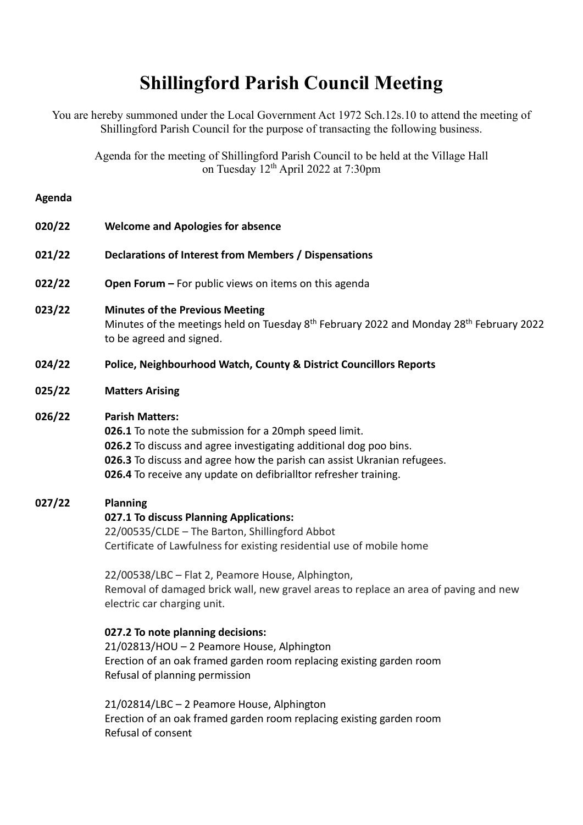# **Shillingford Parish Council Meeting**

You are hereby summoned under the Local Government Act 1972 Sch.12s.10 to attend the meeting of Shillingford Parish Council for the purpose of transacting the following business.

Agenda for the meeting of Shillingford Parish Council to be held at the Village Hall on Tuesday 12th April 2022 at 7:30pm

#### **Agenda**

- **020/22 Welcome and Apologies for absence**
- **021/22 Declarations of Interest from Members / Dispensations**
- **022/22 Open Forum –** For public views on items on this agenda

#### **023/22 Minutes of the Previous Meeting**

Minutes of the meetings held on Tuesday 8<sup>th</sup> February 2022 and Monday 28<sup>th</sup> February 2022 to be agreed and signed.

- **024/22 Police, Neighbourhood Watch, County & District Councillors Reports**
- **025/22 Matters Arising**

#### **026/22 Parish Matters:**

**026.1** To note the submission for a 20mph speed limit. **026.2** To discuss and agree investigating additional dog poo bins. **026.3** To discuss and agree how the parish can assist Ukranian refugees. **026.4** To receive any update on defibrialltor refresher training.

### **027/22 Planning**

### **027.1 To discuss Planning Applications:**

22/00535/CLDE – The Barton, Shillingford Abbot Certificate of Lawfulness for existing residential use of mobile home

22/00538/LBC – Flat 2, Peamore House, Alphington, Removal of damaged brick wall, new gravel areas to replace an area of paving and new electric car charging unit.

## **027.2 To note planning decisions:**

21/02813/HOU – 2 Peamore House, Alphington Erection of an oak framed garden room replacing existing garden room Refusal of planning permission

21/02814/LBC – 2 Peamore House, Alphington Erection of an oak framed garden room replacing existing garden room Refusal of consent